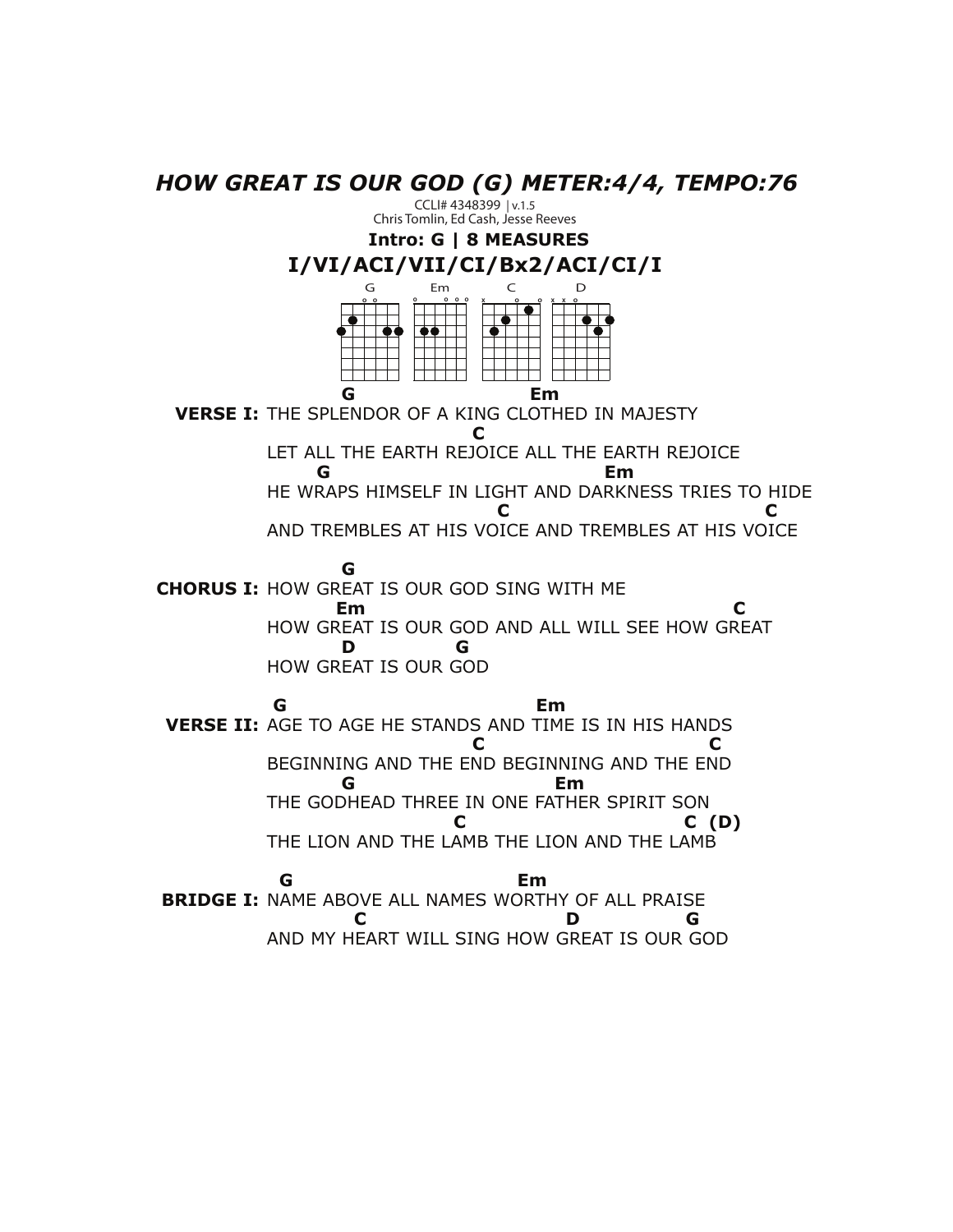*HOW GREAT IS OUR GOD (G) METER:4/4, TEMPO:76*

**Intro: G | 8 MEASURES** CCLI# 4348399 | v.1.5 Chris Tomlin, Ed Cash, Jesse Reeves

## **I/VI/ACI/VII/CI/Bx2/ACI/CI/I**



 **G Em VERSE I:** THE SPLENDOR OF A KING CLOTHED IN MAJESTY  **C** LET ALL THE EARTH REJOICE ALL THE EARTH REJOICE  **G Em** HE WRAPS HIMSELF IN LIGHT AND DARKNESS TRIES TO HIDE **C** C C AND TREMBLES AT HIS VOICE AND TREMBLES AT HIS VOICE  **G CHORUS I:** HOW GREAT IS OUR GOD SING WITH ME **Em C** HOW GREAT IS OUR GOD AND ALL WILL SEE HOW GREAT  **D G**

HOW GREAT IS OUR GOD  **G Em VERSE II:** AGE TO AGE HE STANDS AND TIME IS IN HIS HANDS **C** C BEGINNING AND THE END BEGINNING AND THE END  **G Em** THE GODHEAD THREE IN ONE FATHER SPIRIT SON  **C C (D)** THE LION AND THE LAMB THE LION AND THE LAMB

 **G Em BRIDGE I:** NAME ABOVE ALL NAMES WORTHY OF ALL PRAISE  **C D G** AND MY HEART WILL SING HOW GREAT IS OUR GOD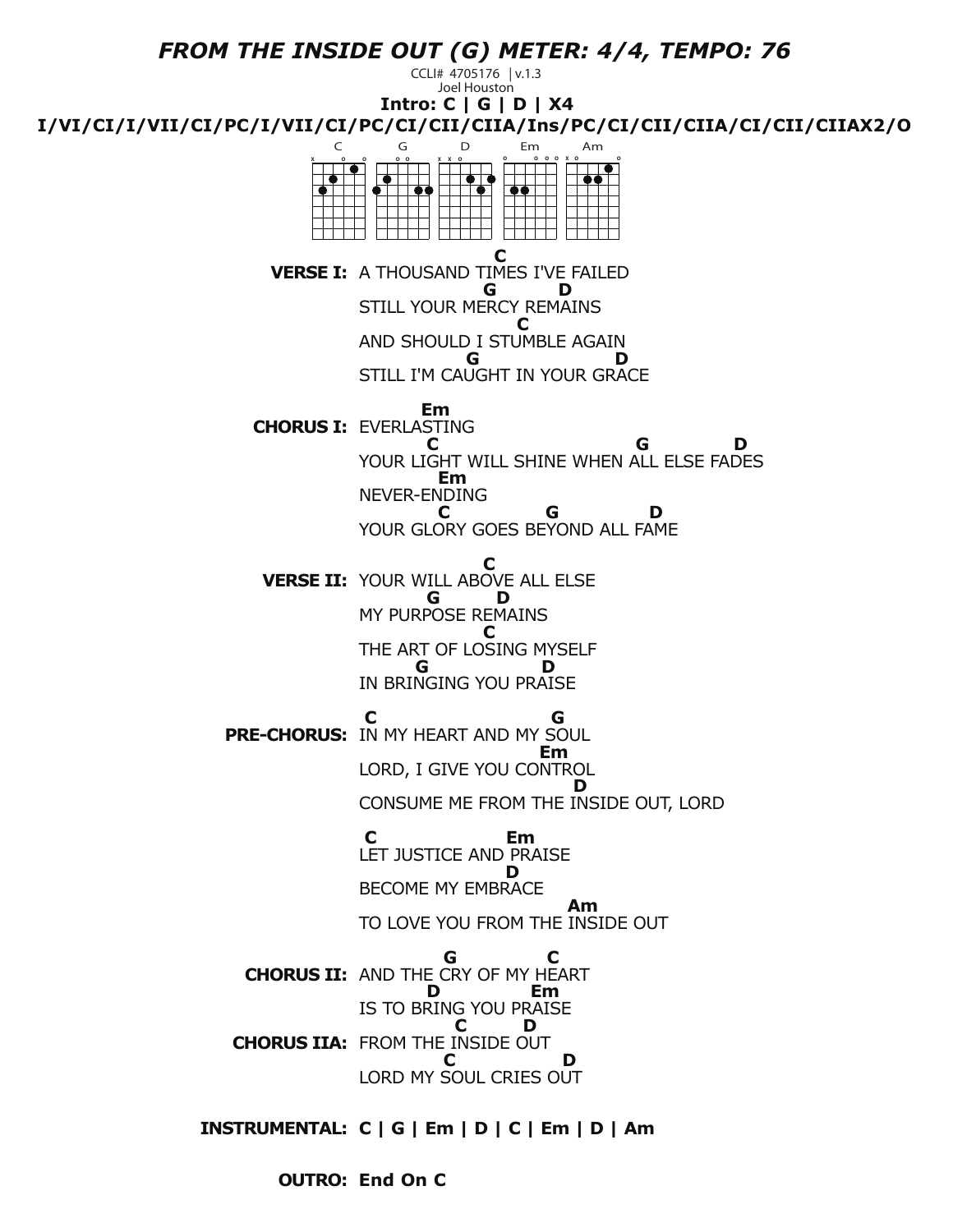

**End On C OUTRO:**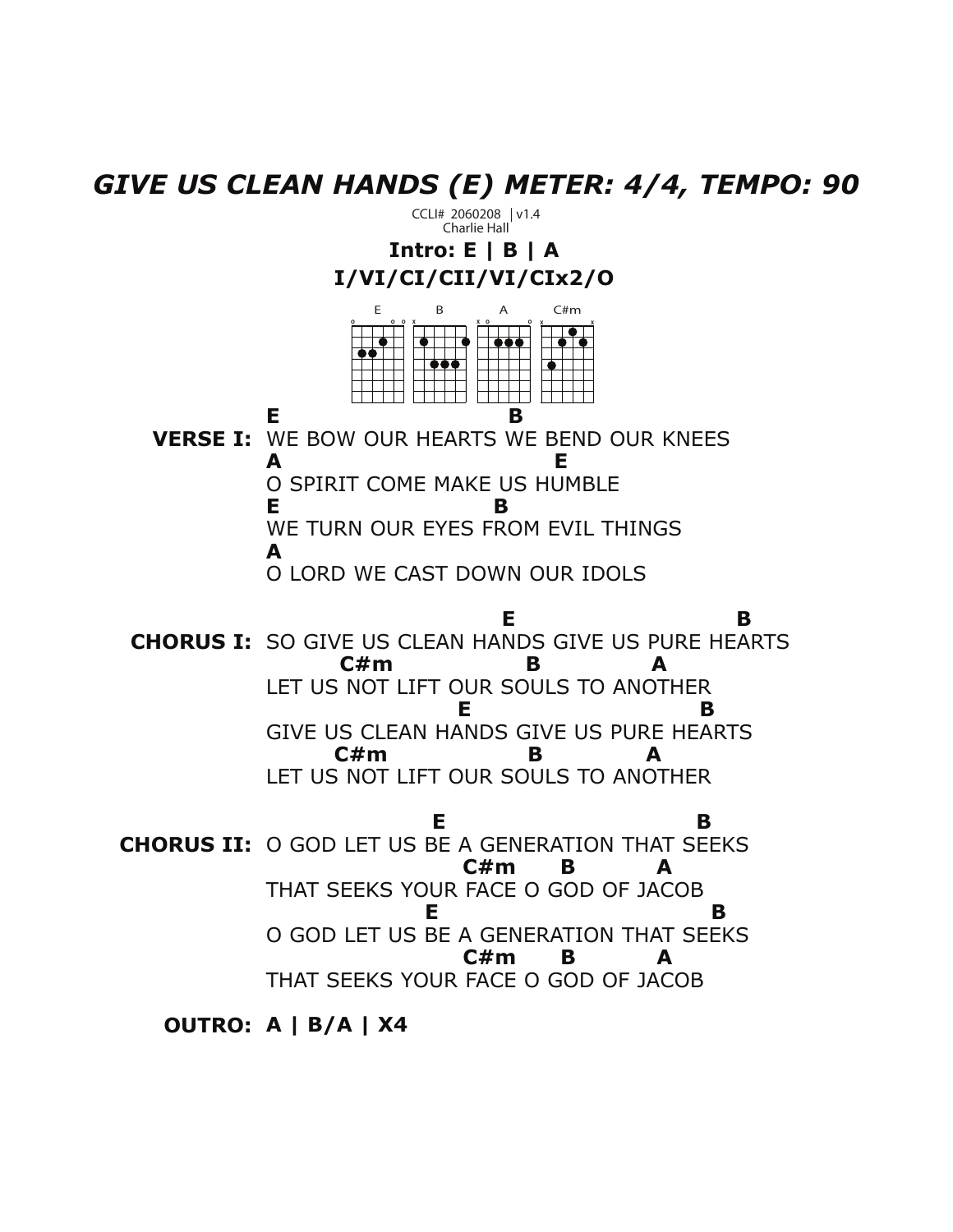*GIVE US CLEAN HANDS (E) METER: 4/4, TEMPO: 90*

**Intro: E | B | A I/VI/CI/CII/VI/CIx2/O VERSE I:** WE BOW OUR HEARTS WE BEND OUR KNEES **CHORUS I:** SO GIVE US CLEAN HANDS GIVE US PURE HEARTS **CHORUS II:** O GOD LET US BE A GENERATION THAT SEEKS **E B A E**  O SPIRIT COME MAKE US HUMBLE **E B** WE TURN OUR EYES FROM EVIL THINGS **A** O LORD WE CAST DOWN OUR IDOLS **E** B B  **C#m B A** LET US NOT LIFT OUR SOULS TO ANOTHER **E** B B GIVE US CLEAN HANDS GIVE US PURE HEARTS **C#m B A**  LET US NOT LIFT OUR SOULS TO ANOTHER **E** B B **C#m B A** THAT SEEKS YOUR FACE O GOD OF JACOB **E** B B O GOD LET US BE A GENERATION THAT SEEKS **C#m B A** THAT SEEKS YOUR FACE O GOD OF JACOB CCLI# 2060208 | v1.4 Charlie Hall E **O O O** C#m **X X** B **X** A **X O O**

**OUTRO: A | B/A | X4**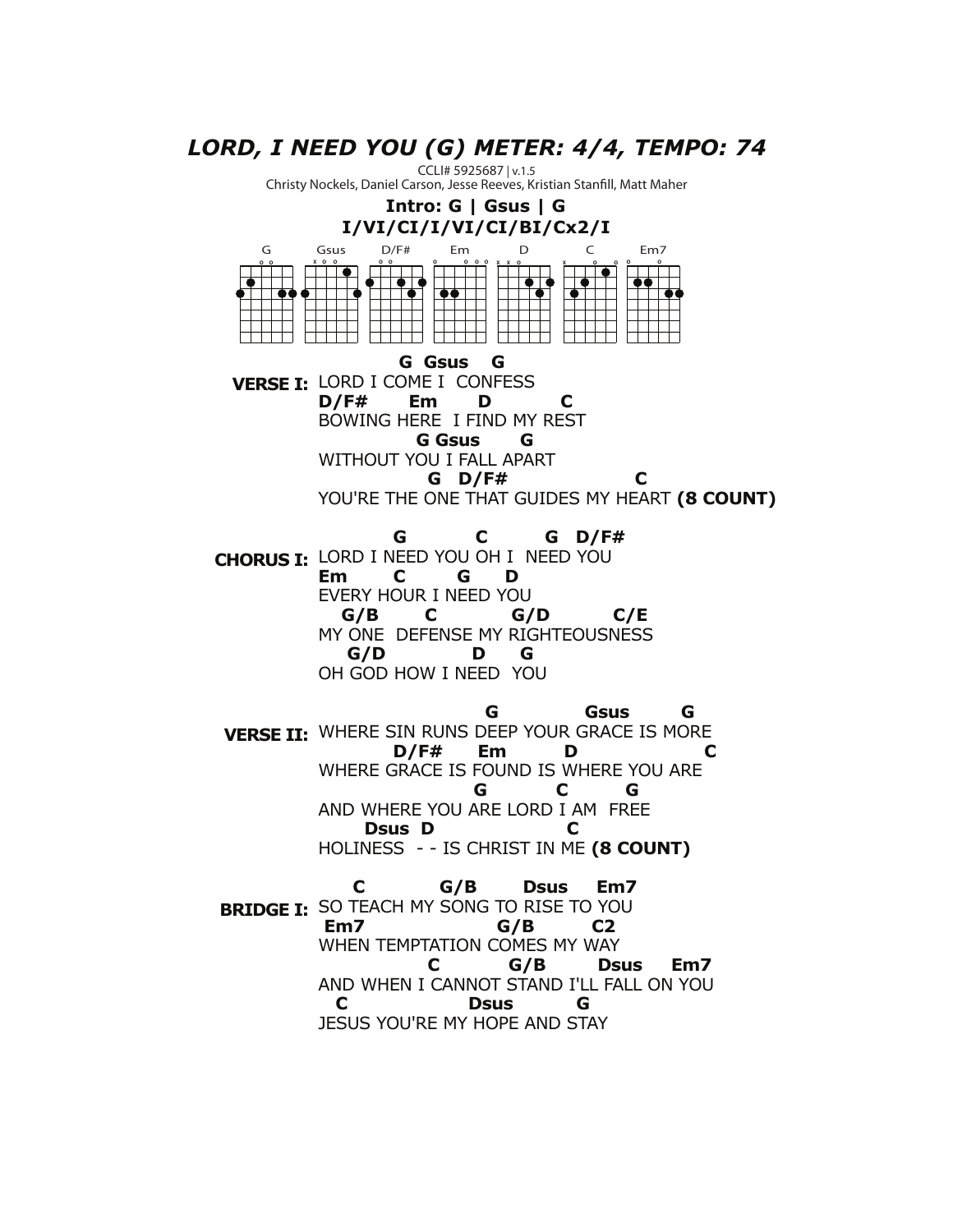## *LORD, I NEED YOU (G) METER: 4/4, TEMPO: 74*

CCLI# 5925687 | v.1.5 Christy Nockels, Daniel Carson, Jesse Reeves, Kristian Stanfill, Matt Maher

## **Intro: G | Gsus | G I/VI/CI/I/VI/CI/BI/Cx2/I**



 **G C G D/F#**  LORD I NEED YOU OH I NEED YOU **CHORUS I: Em C G D** EVERY HOUR I NEED YOU  **G/B C G/D C/E** MY ONE DEFENSE MY RIGHTEOUSNESS  **G/D D G** OH GOD HOW I NEED YOU

**G** Gsus G **VERSE II:** WHERE SIN RUNS DEEP YOUR GRACE IS MORE  **D/F# Em D C**  WHERE GRACE IS FOUND IS WHERE YOU ARE  **G C G**  AND WHERE YOU ARE LORD I AM FREE  **Dsus D C** HOLINESS - - IS CHRIST IN ME **(8 COUNT)**

 **C G/B Dsus Em7 BRIDGE I:** SO TEACH MY SONG TO RISE TO YOU  **Em7 G/B C2** WHEN TEMPTATION COMES MY WAY  **C G/B Dsus Em7**  AND WHEN I CANNOT STAND I'LL FALL ON YOU  **C Dsus G** JESUS YOU'RE MY HOPE AND STAY